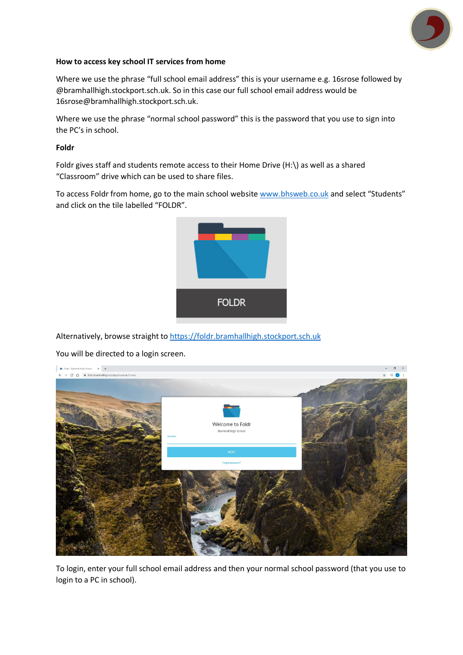

## **How to access key school IT services from home**

Where we use the phrase "full school email address" this is your username e.g. 16srose followed by @bramhallhigh.stockport.sch.uk. So in this case our full school email address would be 16srose@bramhallhigh.stockport.sch.uk.

Where we use the phrase "normal school password" this is the password that you use to sign into the PC's in school.

**Foldr**

Foldr gives staff and students remote access to their Home Drive (H:\) as well as a shared "Classroom" drive which can be used to share files.

To access Foldr from home, go to the main school website [www.bhsweb.co.uk](http://www.bhsweb.co.uk/) and select "Students" and click on the tile labelled "FOLDR".



Alternatively, browse straight t[o https://foldr.bramhallhigh.stockport.sch.uk](https://foldr.bramhallhigh.stockport.sch.uk/)

You will be directed to a login screen.



To login, enter your full school email address and then your normal school password (that you use to login to a PC in school).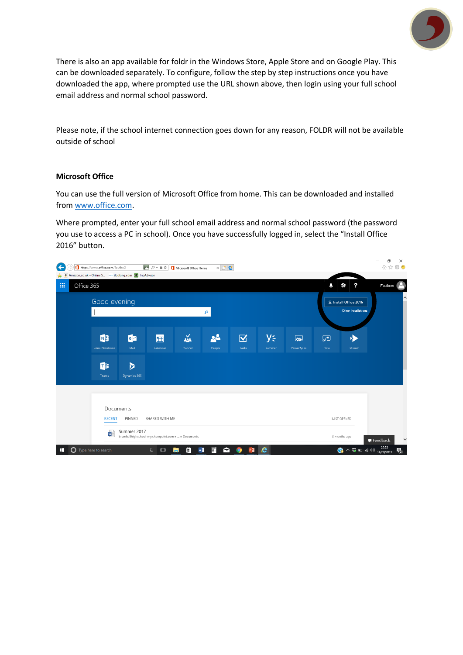

There is also an app available for foldr in the Windows Store, Apple Store and on Google Play. This can be downloaded separately. To configure, follow the step by step instructions once you have downloaded the app, where prompted use the URL shown above, then login using your full school email address and normal school password.

Please note, if the school internet connection goes down for any reason, FOLDR will not be available outside of school

## **Microsoft Office**

You can use the full version of Microsoft Office from home. This can be downloaded and installed from [www.office.com.](http://www.office.com/)

Where prompted, enter your full school email address and normal school password (the password you use to access a PC in school). Once you have successfully logged in, select the "Install Office 2016" button.

| ⊷<br>介☆※●<br>▶ ○ ★ ▲ C   ■ Microsoft Office Home<br>https://www.office.com/?auth=2<br>$x \nvert$ e<br>←<br>Amazon.co.uk - Online S - Booking.com Co TripAdvisor<br>a. |            |                                                                                         |              |             |         |                           |                         |                  |                     |             |                                        |                          |
|-----------------------------------------------------------------------------------------------------------------------------------------------------------------------|------------|-----------------------------------------------------------------------------------------|--------------|-------------|---------|---------------------------|-------------------------|------------------|---------------------|-------------|----------------------------------------|--------------------------|
| 冊                                                                                                                                                                     | Office 365 |                                                                                         |              |             |         |                           |                         |                  |                     | ۵           | ?<br>۰                                 | I Faulkner               |
|                                                                                                                                                                       |            | Good evening<br>م                                                                       |              |             |         |                           |                         |                  |                     |             | $\underline{\Psi}$ Install Office 2016 | ∧                        |
|                                                                                                                                                                       |            |                                                                                         |              |             |         |                           |                         |                  |                     |             | Other installations                    |                          |
|                                                                                                                                                                       |            | NB                                                                                      | $\circ$      | 團           | 益       | 22                        | $\overline{\mathbf{M}}$ | y⊱               | $\overline{\infty}$ | $\sqrt{2}$  | ۰D                                     |                          |
|                                                                                                                                                                       |            | Class Notebook                                                                          | Mail         | Calendar    | Planner | People                    | Tasks                   | Yammer           | PowerApps           | Flow        | Stream                                 |                          |
|                                                                                                                                                                       |            | d <sub>i</sub>                                                                          | D            |             |         |                           |                         |                  |                     |             |                                        |                          |
|                                                                                                                                                                       |            | Teams                                                                                   | Dynamics 365 |             |         |                           |                         |                  |                     |             |                                        |                          |
|                                                                                                                                                                       |            |                                                                                         |              |             |         |                           |                         |                  |                     |             |                                        |                          |
|                                                                                                                                                                       |            |                                                                                         | Documents    |             |         |                           |                         |                  |                     |             |                                        |                          |
|                                                                                                                                                                       |            | SHARED WITH ME<br>PINNED<br><b>RECENT</b>                                               |              |             |         |                           |                         |                  |                     | LAST OPENED |                                        |                          |
|                                                                                                                                                                       |            | Summer 2017<br>w<br>bramhallhighschool-my.sharepoint.com »  » Documents<br>3 months ago |              |             |         |                           |                         |                  |                     |             |                                        | $\checkmark$<br>Feedback |
| ÷                                                                                                                                                                     | $\circ$    | Type here to search                                                                     |              | O<br>$\Box$ | â<br>ıн | 冨<br>$\blacksquare$<br>w∃ | P目<br><b>Q</b>          | $\boldsymbol{e}$ |                     |             | ? へも□ 系(1)                             | 20:23<br>物<br>14/09/2017 |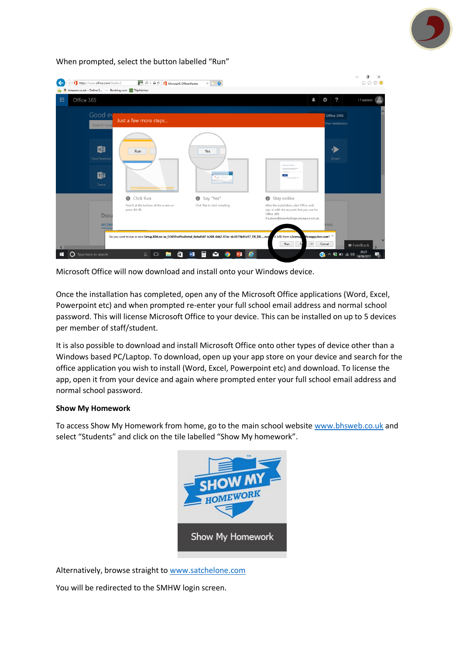

## When prompted, select the button labelled "Run"



Microsoft Office will now download and install onto your Windows device.

Once the installation has completed, open any of the Microsoft Office applications (Word, Excel, Powerpoint etc) and when prompted re-enter your full school email address and normal school password. This will license Microsoft Office to your device. This can be installed on up to 5 devices per member of staff/student.

It is also possible to download and install Microsoft Office onto other types of device other than a Windows based PC/Laptop. To download, open up your app store on your device and search for the office application you wish to install (Word, Excel, Powerpoint etc) and download. To license the app, open it from your device and again where prompted enter your full school email address and normal school password.

## **Show My Homework**

To access Show My Homework from home, go to the main school websit[e www.bhsweb.co.uk](http://www.bhsweb.co.uk/) and select "Students" and click on the tile labelled "Show My homework".



Alternatively, browse straight to [www.satchelone.com](http://www.satchelone.com/)

You will be redirected to the SMHW login screen.